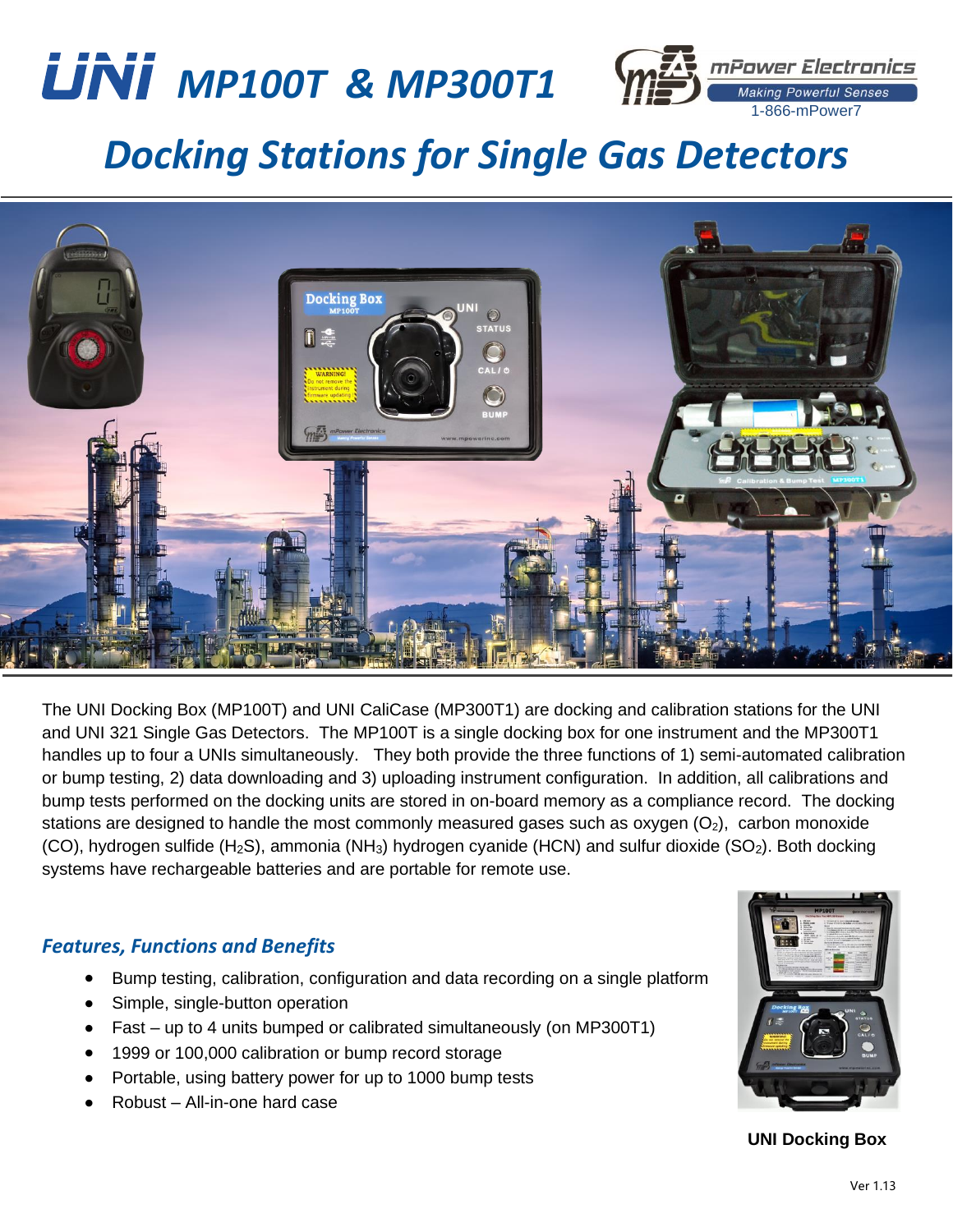

mPower Electronics **Making Powerful Senses** 1-866-mPower7

## *Docking Stations for Single Gas Detectors*



The UNI Docking Box (MP100T) and UNI CaliCase (MP300T1) are docking and calibration stations for the UNI and UNI 321 Single Gas Detectors. The MP100T is a single docking box for one instrument and the MP300T1 handles up to four a UNIs simultaneously. They both provide the three functions of 1) semi-automated calibration or bump testing, 2) data downloading and 3) uploading instrument configuration. In addition, all calibrations and bump tests performed on the docking units are stored in on-board memory as a compliance record. The docking stations are designed to handle the most commonly measured gases such as oxygen  $(O_2)$ , carbon monoxide (CO), hydrogen sulfide (H<sub>2</sub>S), ammonia (NH<sub>3</sub>) hydrogen cyanide (HCN) and sulfur dioxide (SO<sub>2</sub>). Both docking systems have rechargeable batteries and are portable for remote use.

## *Features, Functions and Benefits*

- Bump testing, calibration, configuration and data recording on a single platform
- Simple, single-button operation
- Fast up to 4 units bumped or calibrated simultaneously (on MP300T1)
- 1999 or 100,000 calibration or bump record storage
- Portable, using battery power for up to 1000 bump tests
- Robust All-in-one hard case



**UNI Docking Box**